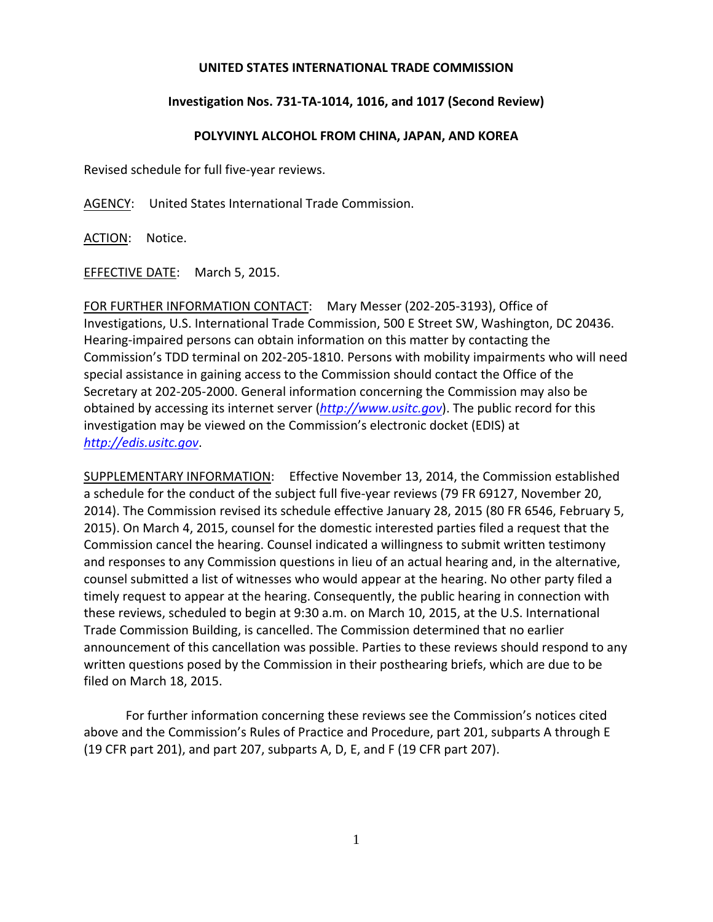## **UNITED STATES INTERNATIONAL TRADE COMMISSION**

## **Investigation Nos. 731‐TA‐1014, 1016, and 1017 (Second Review)**

## **POLYVINYL ALCOHOL FROM CHINA, JAPAN, AND KOREA**

Revised schedule for full five‐year reviews.

AGENCY: United States International Trade Commission.

ACTION: Notice.

EFFECTIVE DATE: March 5, 2015.

FOR FURTHER INFORMATION CONTACT: Mary Messer (202‐205‐3193), Office of Investigations, U.S. International Trade Commission, 500 E Street SW, Washington, DC 20436. Hearing‐impaired persons can obtain information on this matter by contacting the Commission's TDD terminal on 202‐205‐1810. Persons with mobility impairments who will need special assistance in gaining access to the Commission should contact the Office of the Secretary at 202‐205‐2000. General information concerning the Commission may also be obtained by accessing its internet server (*http://www.usitc.gov*). The public record for this investigation may be viewed on the Commission's electronic docket (EDIS) at *http://edis.usitc.gov*.

SUPPLEMENTARY INFORMATION: Effective November 13, 2014, the Commission established a schedule for the conduct of the subject full five-year reviews (79 FR 69127, November 20, 2014). The Commission revised its schedule effective January 28, 2015 (80 FR 6546, February 5, 2015). On March 4, 2015, counsel for the domestic interested parties filed a request that the Commission cancel the hearing. Counsel indicated a willingness to submit written testimony and responses to any Commission questions in lieu of an actual hearing and, in the alternative, counsel submitted a list of witnesses who would appear at the hearing. No other party filed a timely request to appear at the hearing. Consequently, the public hearing in connection with these reviews, scheduled to begin at 9:30 a.m. on March 10, 2015, at the U.S. International Trade Commission Building, is cancelled. The Commission determined that no earlier announcement of this cancellation was possible. Parties to these reviews should respond to any written questions posed by the Commission in their posthearing briefs, which are due to be filed on March 18, 2015.

For further information concerning these reviews see the Commission's notices cited above and the Commission's Rules of Practice and Procedure, part 201, subparts A through E (19 CFR part 201), and part 207, subparts A, D, E, and F (19 CFR part 207).